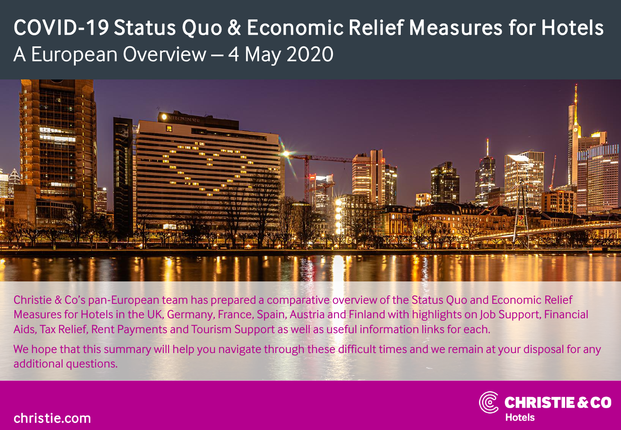# COVID-19 Status Quo & Economic Relief Measures for Hotels A European Overview – 4 May 2020



Christie & Co's pan-European team has prepared a comparative overview of the Status Quo and Economic Relief Measures for Hotels in the UK, Germany, France, Spain, Austria and Finland with highlights on Job Support, Financial Aids, Tax Relief, Rent Payments and Tourism Support as well as useful information links for each.

We hope that this summary will help you navigate through these difficult times and we remain at your disposal for any additional questions.



#### christie.com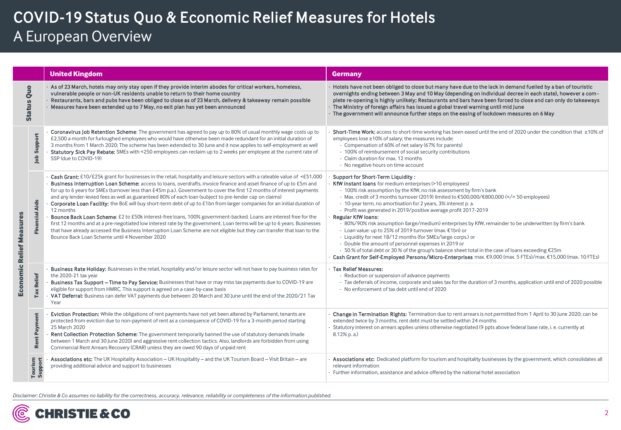### COVID-19 Status Quo & Economic Relief Measures for Hotels A European Overview

|                          |                       | <b>United Kingdom</b>                                                                                                                                                                                                                                                                                                                                                                                                                                                                                                                                                                                                                                                                                                                                                                                                                                                                                                                                                                                                                                         | <b>Germany</b>                                                                                                                                                                                                                                                                                                                                                                                                                                                                                                                                                                                                                                                                                                                                                                                                                                                                                                                                                  |  |  |
|--------------------------|-----------------------|---------------------------------------------------------------------------------------------------------------------------------------------------------------------------------------------------------------------------------------------------------------------------------------------------------------------------------------------------------------------------------------------------------------------------------------------------------------------------------------------------------------------------------------------------------------------------------------------------------------------------------------------------------------------------------------------------------------------------------------------------------------------------------------------------------------------------------------------------------------------------------------------------------------------------------------------------------------------------------------------------------------------------------------------------------------|-----------------------------------------------------------------------------------------------------------------------------------------------------------------------------------------------------------------------------------------------------------------------------------------------------------------------------------------------------------------------------------------------------------------------------------------------------------------------------------------------------------------------------------------------------------------------------------------------------------------------------------------------------------------------------------------------------------------------------------------------------------------------------------------------------------------------------------------------------------------------------------------------------------------------------------------------------------------|--|--|
| Status Quo               |                       | As of 23 March, hotels may only stay open if they provide interim abodes for critical workers, homeless,<br>vulnerable people or non-UK residents unable to return to their home country<br>Restaurants, bars and pubs have been obliged to close as of 23 March, delivery & takeaway remain possible<br>Measures have been extended up to 7 May, no exit plan has yet been announced                                                                                                                                                                                                                                                                                                                                                                                                                                                                                                                                                                                                                                                                         | Hotels have not been obliged to close but many have due to the lack in demand fuelled by a ban of touristic<br>overnights ending between 3 May and 10 May (depending on individual decree in each state), however a com-<br>plete re-opening is highly unlikely; Restaurants and bars have been forced to close and can only do takeaways<br>- The Ministry of foreign affairs has issued a global travel warning until mid June<br>- The government will announce further steps on the easing of lockdown measures on 6 May                                                                                                                                                                                                                                                                                                                                                                                                                                    |  |  |
| Economic Relief Measures | Support<br>Job        | Coronavirus Job Retention Scheme: The government has agreed to pay up to 80% of usual monthly wage costs up to<br>£2,500 a month for furloughed employees who would have otherwise been made redundant for an initial duration of<br>3 months from 1 March 2020; The scheme has been extended to 30 June and it now applies to self-employment as well<br>Statutory Sick Pay Rebate: SMEs with <250 employees can reclaim up to 2 weeks per employee at the current rate of<br>SSP (due to COVID-19)                                                                                                                                                                                                                                                                                                                                                                                                                                                                                                                                                          | Short-Time Work: access to short-time working has been eased until the end of 2020 under the condition that ≥10% of<br>employees lose ≥10% of salary; the measures include:<br>- Compensation of 60% of net salary (67% for parents)<br>- 100% of reimbursement of social security contributions<br>- Claim duration for max. 12 months<br>- No negative hours on time account                                                                                                                                                                                                                                                                                                                                                                                                                                                                                                                                                                                  |  |  |
|                          | <b>Financial Aids</b> | Cash Grant: £10/£25k grant for businesses in the retail, hospitality and leisure sectors with a rateable value of <£51,000<br>Business Interruption Loan Scheme: access to loans, overdrafts, invoice finance and asset finance of up to £5m and<br>for up to 6 years for SMEs (turnover less than £45m p.a.). Government to cover the first 12 months of interest payments<br>and any lender-levied fees as well as guaranteed 80% of each loan (subject to pre-lender cap on claims)<br>Corporate Loan Facility: the BoE will buy short-term debt of up to £1bn from larger companies for an initial duration of<br>12 months<br>Bounce Back Loan Scheme: £2 to £50k interest-free loans, 100% government-backed. Loans are interest free for the<br>first 12 months and at a pre-negotiated low interest rate by the government. Loan terms will be up to 6 years. Businesses<br>that have already accessed the Business Interruption Loan Scheme are not eligible but they can transfer that loan to the<br>Bounce Back Loan Scheme until 4 November 2020 | <b>Support for Short-Term Liquidity:</b><br>KfW instant loans for medium enterprises (>10 employees)<br>- 100% risk assumption by the KfW, no risk assessment by firm's bank<br>- Max. credit of 3 months turnover (2019) limited to €500,000/€800,000 ( 50 employees)<br>- 10-year term, no amortisation for 2 years, 3% interest p. a.<br>- Profit was generated in 2019/positive average profit 2017-2019<br><b>Regular KfW loans:</b><br>- 80%/90% risk assumption (large/medium) enterprises by KfW, remainder to be underwritten by firm's bank<br>- Loan value: up to 25% of 2019 turnover (max. €1bn) or<br>- Liquidity for next 18/12 months (for SMEs/large corps.) or<br>- Double the amount of personnel expenses in 2019 or<br>- 50 % of total debt or 30 % of the group's balance sheet total in the case of loans exceeding €25m<br>Cash Grant for Self-Employed Persons/Micro-Enterprises max. €9,000 (max. 5 FTEs)/max. €15,000 (max. 10 FTEs) |  |  |
|                          | <b>Tax Relief</b>     | Business Rate Holiday: Businesses in the retail, hospitality and/or leisure sector will not have to pay business rates for<br>the 2020-21 tax year<br>Business Tax Support - Time to Pay Service: Businesses that have or may miss tax payments due to COVID-19 are<br>eligible for support from HMRC. This support is agreed on a case-by-case basis<br>VAT Deferral: Business can defer VAT payments due between 20 March and 30 June until the end of the 2020/21 Tax<br>Year                                                                                                                                                                                                                                                                                                                                                                                                                                                                                                                                                                              | <b>Tax Relief Measures:</b><br>- Reduction or suspension of advance payments<br>- Tax deferrals of income, corporate and sales tax for the duration of 3 months, application until end of 2020 possible<br>- No enforcement of tax debt until end of 2020                                                                                                                                                                                                                                                                                                                                                                                                                                                                                                                                                                                                                                                                                                       |  |  |
|                          | Rent Payment          | Eviction Protection: While the obligations of rent payments have not yet been altered by Parliament, tenants are<br>protected from eviction due to non-payment of rent as a consequence of COVID-19 for a 3-month period starting<br>25 March 2020<br>Rent Collection Protection Scheme: The government temporarily banned the use of statutory demands (made<br>between 1 March and 30 June 2020) and aggressive rent collection tactics. Also, landlords are forbidden from using<br>Commercial Rent Arrears Recovery (CRAR) unless they are owed 90 days of unpaid rent                                                                                                                                                                                                                                                                                                                                                                                                                                                                                    | Change in Termination Rights: Termination due to rent arrears is not permitted from 1 April to 30 June 2020; can be<br>extended twice by 3 months, rent debt must be settled within 24 months<br>Statutory interest on arrears applies unless otherwise negotiated (9 ppts above federal base rate, i. e. currently at<br>$8.12\%$ p. a.)                                                                                                                                                                                                                                                                                                                                                                                                                                                                                                                                                                                                                       |  |  |
|                          | Tourism<br>Support    | Associations etc: The UK Hospitality Association - UK Hospitality - and the UK Tourism Board - Visit Britain - are<br>providing additional advice and support to businesses                                                                                                                                                                                                                                                                                                                                                                                                                                                                                                                                                                                                                                                                                                                                                                                                                                                                                   | Associations etc: Dedicated platform for tourism and hospitality businesses by the government, which consolidates all<br>relevant information<br>- Further information, assistance and advice offered by the national hotel association                                                                                                                                                                                                                                                                                                                                                                                                                                                                                                                                                                                                                                                                                                                         |  |  |

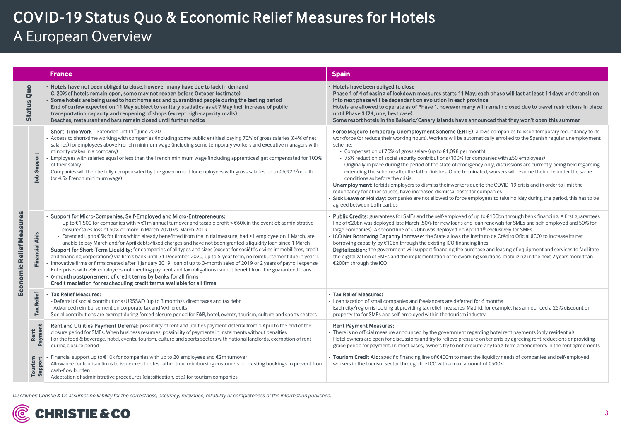### COVID-19 Status Quo & Economic Relief Measures for Hotels A European Overview

|                          |                       | <b>France</b>                                                                                                                                                                                                                                                                                                                                                                                                                                                                                                                                                                                                                                                                                                                                                                                                                                                                                                                                                                                                                                                                                                                                   | <b>Spain</b>                                                                                                                                                                                                                                                                                                                                                                                                                                                                                                                                                                                                                                                                                                                                                                                                                                                                                                                                                                                                                                     |  |  |
|--------------------------|-----------------------|-------------------------------------------------------------------------------------------------------------------------------------------------------------------------------------------------------------------------------------------------------------------------------------------------------------------------------------------------------------------------------------------------------------------------------------------------------------------------------------------------------------------------------------------------------------------------------------------------------------------------------------------------------------------------------------------------------------------------------------------------------------------------------------------------------------------------------------------------------------------------------------------------------------------------------------------------------------------------------------------------------------------------------------------------------------------------------------------------------------------------------------------------|--------------------------------------------------------------------------------------------------------------------------------------------------------------------------------------------------------------------------------------------------------------------------------------------------------------------------------------------------------------------------------------------------------------------------------------------------------------------------------------------------------------------------------------------------------------------------------------------------------------------------------------------------------------------------------------------------------------------------------------------------------------------------------------------------------------------------------------------------------------------------------------------------------------------------------------------------------------------------------------------------------------------------------------------------|--|--|
| <b>Status Quo</b>        |                       | Hotels have not been obliged to close, however many have due to lack in demand<br>C. 20% of hotels remain open, some may not reopen before October (estimate)<br>Some hotels are being used to host homeless and quarantined people during the testing period<br>End of curfew expected on 11 May subject to sanitary statistics as at 7 May incl. increase of public<br>transportation capacity and reopening of shops (except high-capacity malls)<br>Beaches, restaurant and bars remain closed until further notice                                                                                                                                                                                                                                                                                                                                                                                                                                                                                                                                                                                                                         | - Hotels have been obliged to close<br>Phase 1 of 4 of easing of lockdown measures starts 11 May; each phase will last at least 14 days and transition<br>into next phase will be dependent on evolution in each province<br>Hotels are allowed to operate as of Phase 1, however many will remain closed due to travel restrictions in place<br>until Phase 3 (24 June, best case)<br>Some resort hotels in the Balearic/Canary islands have announced that they won't open this summer                                                                                                                                                                                                                                                                                                                                                                                                                                                                                                                                                         |  |  |
| Economic Relief Measures | Support<br>Job        | Short-Time Work - Extended until 1st June 2020<br>- Access to short-time working with companies (including some public entities) paying 70% of gross salaries (84% of net<br>salaries) for employees above French minimum wage (including some temporary workers and executive managers with<br>minority stakes in a company)<br>Employees with salaries equal or less than the French minimum wage (including apprentices) get compensated for 100%<br>of their salary<br>Companies will then be fully compensated by the government for employees with gross salaries up to $\epsilon$ 6,927/month<br>(or 4.5x French minimum wage)                                                                                                                                                                                                                                                                                                                                                                                                                                                                                                           | Force Majeure Temporary Unemployment Scheme (ERTE): allows companies to issue temporary redundancy to its<br>workforce (or reduce their working hours). Workers will be automatically enrolled to the Spanish regular unemployment<br>scheme:<br>- Compensation of 70% of gross salary (up to €1,098 per month)<br>- 75% reduction of social security contributions (100% for companies with ≤50 employees)<br>- Originally in place during the period of the state of emergency only, discussions are currently being held regarding<br>extending the scheme after the latter finishes. Once terminated, workers will resume their role under the same<br>conditions as before the crisis<br>Unemployment: forbids employers to dismiss their workers due to the COVID-19 crisis and in order to limit the<br>redundancy for other causes, have increased dismissal costs for companies<br>Sick Leave or Holiday: companies are not allowed to force employees to take holiday during the period, this has to be<br>agreed between both parties |  |  |
|                          | <b>Financial Aids</b> | Support for Micro-Companies, Self-Employed and Micro-Entrepreneurs:<br>- Up to €1,500 for companies with < €1m annual turnover and taxable profit < €60k in the event of: administrative<br>closure/sales loss of 50% or more in March 2020 vs. March 2019<br>- Extended up to €5k for firms which already benefitted from the initial measure, had ≥1 employee on 1 March, are<br>unable to pay March and/or April debts/fixed charges and have not been granted a liquidity loan since 1 March<br>Support for Short-Term Liquidity: for companies of all types and sizes (except for sociétés civiles immobilières, credit<br>and financing corporations) via firm's bank until 31 December 2020, up to 5-year term, no reimbursement due in year 1.<br>Innovative firms or firms created after 1 January 2019: Ioan of up to 3-month sales of 2019 or 2 years of payroll expense<br>Enterprises with >5k employees not meeting payment and tax obligations cannot benefit from the guaranteed loans<br>6-month postponement of credit terms by banks for all firms<br>Credit mediation for rescheduling credit terms available for all firms | <b>Public Credits:</b> guarantees for SMEs and the self-employed of up to €100bn through bank financing. A first guarantees<br>line of €20bn was deployed late March (50% for new loans and loan renewals for SMEs and self-employed and 50% for<br>large companies). A second line of €20bn was deployed on April 11 <sup>th</sup> exclusively for SMEs<br>ICO Net Borrowing Capacity Increase: the State allows the Instituto de Crédito Oficial (ICO) to increase its net<br>borrowing capacity by €10bn through the existing ICO financing lines<br>Digitalization: the government will support financing the purchase and leasing of equipment and services to facilitate<br>the digitalization of SMEs and the implementation of teleworking solutions, mobilizing in the next 2 years more than<br>€200m through the ICO                                                                                                                                                                                                                  |  |  |
|                          | <b>Tax Relief</b>     | <b>Tax Relief Measures:</b><br>- Deferral of social contributions (URSSAF) (up to 3 months), direct taxes and tax debt<br>- Advanced reimbursement on corporate tax and VAT credits<br>Social contributions are exempt during forced closure period for F&B, hotel, events, tourism, culture and sports sectors                                                                                                                                                                                                                                                                                                                                                                                                                                                                                                                                                                                                                                                                                                                                                                                                                                 | Tax Relief Measures:<br>- Loan taxation of small companies and freelancers are deferred for 6 months<br>Each city/region is looking at providing tax relief measures. Madrid, for example, has announced a 25% discount on<br>property tax for SMEs and self-employed within the tourism industry                                                                                                                                                                                                                                                                                                                                                                                                                                                                                                                                                                                                                                                                                                                                                |  |  |
|                          | Ħ<br>Paymer<br>Rent   | Rent and Utilities Payment Deferral: possibility of rent and utilities payment deferral from 1 April to the end of the<br>closure period for SMEs. When business resumes, possibility of payments in instalments without penalties<br>For the food & beverage, hotel, events, tourism, culture and sports sectors with national landlords, exemption of rent<br>during closure period                                                                                                                                                                                                                                                                                                                                                                                                                                                                                                                                                                                                                                                                                                                                                           | <b>Rent Payment Measures:</b><br>- There is no official measure announced by the government regarding hotel rent payments (only residential)<br>Hotel owners are open for discussions and try to relieve pressure on tenants by agreeing rent reductions or providing<br>grace period for payment. In most cases, owners try to not execute any long-term amendments in the rent agreements                                                                                                                                                                                                                                                                                                                                                                                                                                                                                                                                                                                                                                                      |  |  |
|                          | Tourism<br>Support    | Financial support up to €10k for companies with up to 20 employees and €2m turnover<br>Allowance for tourism firms to issue credit notes rather than reimbursing customers on existing bookings to prevent from<br>cash-flow burden<br>Adaptation of administrative procedures (classification, etc.) for tourism companies                                                                                                                                                                                                                                                                                                                                                                                                                                                                                                                                                                                                                                                                                                                                                                                                                     | Tourism Credit Aid: specific financing line of €400m to meet the liquidity needs of companies and self-employed<br>workers in the tourism sector through the ICO with a max. amount of €500k                                                                                                                                                                                                                                                                                                                                                                                                                                                                                                                                                                                                                                                                                                                                                                                                                                                     |  |  |

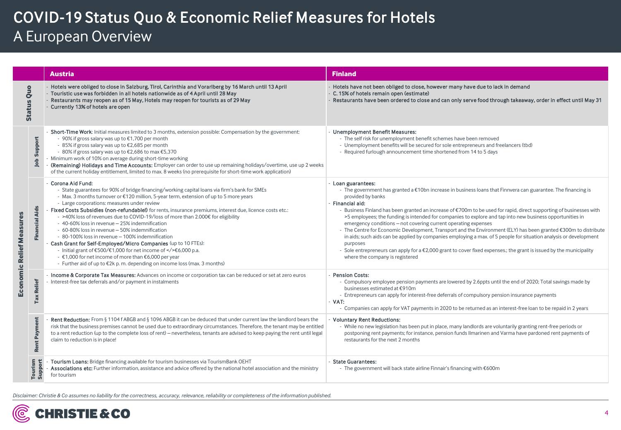### COVID-19 Status Quo & Economic Relief Measures for Hotels A European Overview

|                          |                       | <b>Austria</b>                                                                                                                                                                                                                                                                                                                                                                                                                                                                                                                                                                                                                                                                                                                                                                                                                                                                           | <b>Finland</b>                                                                                                                                                                                                                                                                                                                                                                                                                                                                                                                                                                                                                                                                                                                                                                                                                                                                                               |  |  |
|--------------------------|-----------------------|------------------------------------------------------------------------------------------------------------------------------------------------------------------------------------------------------------------------------------------------------------------------------------------------------------------------------------------------------------------------------------------------------------------------------------------------------------------------------------------------------------------------------------------------------------------------------------------------------------------------------------------------------------------------------------------------------------------------------------------------------------------------------------------------------------------------------------------------------------------------------------------|--------------------------------------------------------------------------------------------------------------------------------------------------------------------------------------------------------------------------------------------------------------------------------------------------------------------------------------------------------------------------------------------------------------------------------------------------------------------------------------------------------------------------------------------------------------------------------------------------------------------------------------------------------------------------------------------------------------------------------------------------------------------------------------------------------------------------------------------------------------------------------------------------------------|--|--|
| <b>Status Quo</b>        |                       | Hotels were obliged to close in Salzburg, Tirol, Carinthia and Vorarlberg by 16 March until 13 April<br>Touristic use was forbidden in all hotels nationwide as of 4 April until 28 May<br>Restaurants may reopen as of 15 May, Hotels may reopen for tourists as of 29 May<br>Currently 13% of hotels are open                                                                                                                                                                                                                                                                                                                                                                                                                                                                                                                                                                          | - Hotels have not been obliged to close, however many have due to lack in demand<br>- C. 15% of hotels remain open (estimate)<br>- Restaurants have been ordered to close and can only serve food through takeaway, order in effect until May 31                                                                                                                                                                                                                                                                                                                                                                                                                                                                                                                                                                                                                                                             |  |  |
| Economic Relief Measures | Support<br>Job        | Short-Time Work: Initial measures limited to 3 months, extension possible: Compensation by the government:<br>- 90% if gross salary was up to €1,700 per month<br>- 85% if gross salary was up to €2,685 per month<br>- 80% if gross salary was up to €2,686 to max €5,370<br>Minimum work of 10% on average during short-time working<br>(Remaining) Holidays and Time Accounts: Employer can order to use up remaining holidays/overtime, use up 2 weeks<br>of the current holiday entitlement, limited to max. 8 weeks (no prerequisite for short-time work application)                                                                                                                                                                                                                                                                                                              | - Unemployment Benefit Measures:<br>- The self risk for unemployment benefit schemes have been removed<br>- Unemployment benefits will be secured for sole entrepreneurs and freelancers (tbd)<br>- Required furlough announcement time shortened from 14 to 5 days                                                                                                                                                                                                                                                                                                                                                                                                                                                                                                                                                                                                                                          |  |  |
|                          | <b>Financial Aids</b> | Corona Aid Fund:<br>- State guarantees for 90% of bridge financing/working capital loans via firm's bank for SMEs<br>- Max. 3 months turnover or €120 million, 5-year term, extension of up to 5 more years<br>- Large corporations: measures under review<br>Fixed Costs Subsidies (non-refundable!) for rents, insurance premiums, interest due, licence costs etc.:<br>- >40% loss of revenues due to COVID-19/loss of more than 2.000€ for eligibility<br>- 40-60% loss in revenue - 25% indemnification<br>- 60-80% loss in revenue - 50% indemnification<br>- 80-100% loss in revenue - 100% indemnification<br>Cash Grant for Self-Employed/Micro Companies (up to 10 FTEs):<br>- Initial grant of €500/€1,000 for net income of  €6,000 p.a.<br>- €1,000 for net income of more than €6,000 per year<br>- Further aid of up to €2k p.m. depending on income loss (max. 3 months) | - Loan guarantees:<br>- The government has granted a €10bn increase in business loans that Finnvera can guarantee. The financing is<br>provided by banks<br>- Financial aid:<br>- Business Finland has been granted an increase of $\epsilon$ 700m to be used for rapid, direct supporting of businesses with<br>>5 employees; the funding is intended for companies to explore and tap into new business opportunities in<br>emergency conditions - not covering current operating expenses<br>- The Centre for Economic Development, Transport and the Environment (ELY) has been granted €300m to distribute<br>in aids; such aids can be applied by companies employing a max. of 5 people for situation analysis or development<br>purposes<br>- Sole entrepreneurs can apply for a $E$ ,000 grant to cover fixed expenses.; the grant is issued by the municipality<br>where the company is registered |  |  |
|                          | <b>Tax Relief</b>     | Income & Corporate Tax Measures: Advances on income or corporation tax can be reduced or set at zero euros<br>Interest-free tax deferrals and/or payment in instalments                                                                                                                                                                                                                                                                                                                                                                                                                                                                                                                                                                                                                                                                                                                  | <b>Pension Costs:</b><br>- Compulsory employee pension payments are lowered by 2.6ppts until the end of 2020; Total savings made by<br>businesses estimated at €910m<br>- Entrepreneurs can apply for interest-free deferrals of compulsory pension insurance payments<br>$-VAT:$<br>- Companies can apply for VAT payments in 2020 to be returned as an interest-free loan to be repaid in 2 years                                                                                                                                                                                                                                                                                                                                                                                                                                                                                                          |  |  |
|                          | Rent Payment          | Rent Reduction: From § 1104 f ABGB and § 1096 ABGB it can be deduced that under current law the landlord bears the<br>risk that the business premises cannot be used due to extraordinary circumstances. Therefore, the tenant may be entitled<br>to a rent reduction (up to the complete loss of rent) – nevertheless, tenants are advised to keep paying the rent until legal<br>claim to reduction is in place!                                                                                                                                                                                                                                                                                                                                                                                                                                                                       | <b>Voluntary Rent Reductions:</b><br>- While no new legislation has been put in place, many landlords are voluntarily granting rent-free periods or<br>postponing rent payments; for instance, pension funds Ilmarinen and Varma have pardoned rent payments of<br>restaurants for the next 2 months                                                                                                                                                                                                                                                                                                                                                                                                                                                                                                                                                                                                         |  |  |
|                          | Tourism<br>Support    | Tourism Loans: Bridge financing available for tourism businesses via TourismBank OEHT<br>Associations etc: Further information, assistance and advice offered by the national hotel association and the ministry<br>for tourism                                                                                                                                                                                                                                                                                                                                                                                                                                                                                                                                                                                                                                                          | <b>State Guarantees:</b><br>- The government will back state airline Finnair's financing with €600m                                                                                                                                                                                                                                                                                                                                                                                                                                                                                                                                                                                                                                                                                                                                                                                                          |  |  |

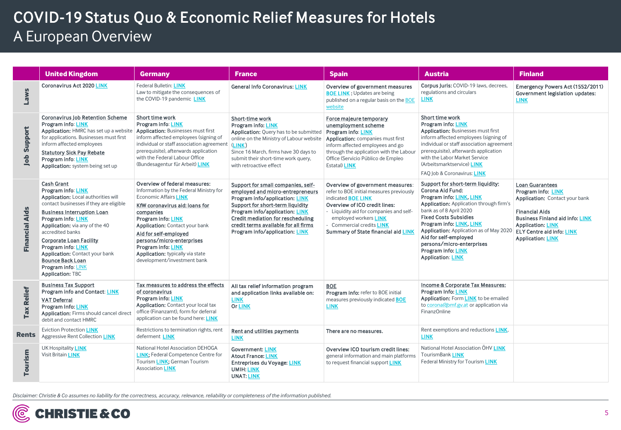## COVID-19 Status Quo & Economic Relief Measures for Hotels A European Overview

|                       | <b>United Kingdom</b>                                                                                                                                                                                                                                                                                                                                                                                            | <b>Germany</b>                                                                                                                                                                                                                                                                                                                                          | <b>France</b>                                                                                                                                                                                                                                                                                 | <b>Spain</b>                                                                                                                                                                                                                                                                     | <b>Austria</b>                                                                                                                                                                                                                                                                                                                                                         | <b>Finland</b>                                                                                                                                                                                                                                |
|-----------------------|------------------------------------------------------------------------------------------------------------------------------------------------------------------------------------------------------------------------------------------------------------------------------------------------------------------------------------------------------------------------------------------------------------------|---------------------------------------------------------------------------------------------------------------------------------------------------------------------------------------------------------------------------------------------------------------------------------------------------------------------------------------------------------|-----------------------------------------------------------------------------------------------------------------------------------------------------------------------------------------------------------------------------------------------------------------------------------------------|----------------------------------------------------------------------------------------------------------------------------------------------------------------------------------------------------------------------------------------------------------------------------------|------------------------------------------------------------------------------------------------------------------------------------------------------------------------------------------------------------------------------------------------------------------------------------------------------------------------------------------------------------------------|-----------------------------------------------------------------------------------------------------------------------------------------------------------------------------------------------------------------------------------------------|
| <b>Laws</b>           | <b>Coronavirus Act 2020 LINK</b>                                                                                                                                                                                                                                                                                                                                                                                 | <b>Federal Bulletin: LINK</b><br>Law to mitigate the consequences of<br>the COVID-19 pandemic LINK                                                                                                                                                                                                                                                      | <b>General Info Coronavirus: LINK</b>                                                                                                                                                                                                                                                         | Overview of government measures<br><b>BOE LINK: Updates are being</b><br>published on a regular basis on the BOE<br>website                                                                                                                                                      | Corpus Juris: COVID-19 laws, decrees,<br>regulations and circulars<br><b>LINK</b>                                                                                                                                                                                                                                                                                      | Emergency Powers Act (1552/2011)<br>Government legislation updates:<br><b>LINK</b>                                                                                                                                                            |
| Support<br>Job        | <b>Coronavirus Job Retention Scheme</b><br><b>Program info: LINK</b><br>Application: HMRC has set up a website<br>for applications. Businesses must first<br>inform affected employees<br><b>Statutory Sick Pay Rebate</b><br>Program info: LINK<br>Application: system being set up                                                                                                                             | Short time work<br>Program info: LINK<br>Application: Businesses must first<br>inform affected employees (signing of<br>individual or staff association agreemen<br>prerequisite), afterwards application<br>with the Federal Labour Office<br>(Bundesagentur für Arbeit) LINK                                                                          | Short-time work<br><b>Program info: LINK</b><br>Application: Query has to be submitted<br>online on the Ministry of Labour website<br>(LINK)<br>Since 16 March, firms have 30 days to<br>submit their short-time work query,<br>with retroactive effect                                       | Force majeure temporary<br>unemployment scheme<br>Program info: LINK<br>Application: companies must first<br>inform affected employees and go<br>through the application with the Labour<br>Office (Servicio Público de Empleo<br>Estatal) <b>LINK</b>                           | Short time work<br>Program info: LINK<br><b>Application: Businesses must first</b><br>inform affected employees (signing of<br>individual or staff association agreement<br>prerequisite), afterwards application<br>with the Labor Market Service<br>(Arbeitsmarktservice) LINK<br>FAO Job & Coronavirus: LINK                                                        |                                                                                                                                                                                                                                               |
| <b>Financial Aids</b> | <b>Cash Grant</b><br>Program info: LINK<br>Application: Local authorities will<br>contact businesses if they are eligible<br><b>Business Interruption Loan</b><br><b>Program info: LINK</b><br>Application: via any of the 40<br>accredited banks<br><b>Corporate Loan Facility</b><br>Program info: LINK<br>Application: Contact your bank<br><b>Bounce Back Loan</b><br>Program info: LINK<br>Application: TBC | Overview of federal measures:<br>Information by the Federal Ministry for<br>Economic Affairs LINK<br>KfW coronavirus aid: loans for<br>companies<br>Program info: LINK<br>Application: Contact your bank<br>Aid for self-employed<br>persons/micro-enterprises<br>Program info: LINK<br>Application: typically via state<br>development/investment bank | Support for small companies, self-<br>employed and micro-entrepreneurs<br>Program info/application: LINK<br>Support for short-term liquidity<br>Program info/application: LINK<br>Credit mediation for rescheduling<br>credit terms available for all firms<br>Program info/application: LINK | Overview of government measures:<br>refer to BOE initial measures previously<br>indicated <b>BOE LINK</b><br>Overview of ICO credit lines:<br>- Liquidity aid for companies and self-<br>employed workers LINK<br>Commercial credits LINK<br>Summary of State financial aid LINK | Support for short-term liquidity:<br>Corona Aid Fund:<br>Program info: LINK, LINK<br>Application: Application through firm's<br>bank as of 8 April 2020<br><b>Fixed Costs Subsidies</b><br>Program info: LINK, LINK<br>Application: Application as of May 2020<br>Aid for self-employed<br>persons/micro-enterprises<br>Program info: LINK<br><b>Application: LINK</b> | <b>Loan Guarantees</b><br>Program info: LINK<br>Application: Contact your bank<br><b>Financial Aids</b><br><b>Business Finland aid info: LINK</b><br><b>Application: LINK</b><br><b>ELY Centre aid info: LINK</b><br><b>Application: LINK</b> |
| <b>Tax Relief</b>     | <b>Business Tax Support</b><br>Program info and Contact: LINK<br><b>VAT Deferral</b><br><b>Program Info: LINK</b><br>Application: Firms should cancel direct<br>debit and contact HMRC                                                                                                                                                                                                                           | Tax measures to address the effects<br>of coronavirus<br>Program info: LINK<br><b>Application: Contact your local tax</b><br>office (Finanzamt), form for deferral<br>application can be found here: LINK                                                                                                                                               | All tax relief information program<br>and application links available on:<br><b>LINK</b><br><b>Or LINK</b>                                                                                                                                                                                    | <b>BOE</b><br>Program info: refer to BOE initial<br>measures previously indicated <b>BOE</b><br><b>LINK</b>                                                                                                                                                                      | Income & Corporate Tax Measures:<br>Program Info: LINK<br>Application: Form <b>LINK</b> to be emailed<br>to corona@bmf.gv.at or application via<br>FinanzOnline                                                                                                                                                                                                        |                                                                                                                                                                                                                                               |
| Rents                 | <b>Eviction Protection LINK</b><br><b>Aggressive Rent Collection LINK</b>                                                                                                                                                                                                                                                                                                                                        | Restrictions to termination rights, rent<br>deferment LINK                                                                                                                                                                                                                                                                                              | Rent and utilities payments<br><b>LINK</b>                                                                                                                                                                                                                                                    | There are no measures.                                                                                                                                                                                                                                                           | Rent exemptions and reductions LINK,<br><b>LINK</b>                                                                                                                                                                                                                                                                                                                    |                                                                                                                                                                                                                                               |
| Tourism               | UK Hospitality LINK<br>Visit Britain LINK                                                                                                                                                                                                                                                                                                                                                                        | National Hotel Association DEHOGA<br><b>LINK:</b> Federal Competence Centre for<br>Tourism LINK; German Tourism<br><b>Association LINK</b>                                                                                                                                                                                                              | <b>Government: LINK</b><br><b>Atout France: LINK</b><br><b>Entreprises du Voyage: LINK</b><br><b>UMIH: LINK</b><br><b>UNAT: LINK</b>                                                                                                                                                          | Overview ICO tourism credit lines:<br>general information and main platforms<br>to request financial support LINK                                                                                                                                                                | National Hotel Association ÖHV LINK<br>TourismBank LINK<br>Federal Ministry for Tourism LINK                                                                                                                                                                                                                                                                           |                                                                                                                                                                                                                                               |